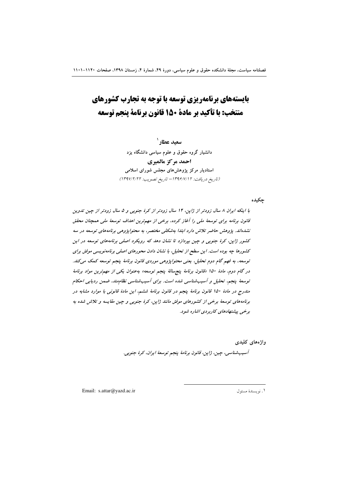# بایستههای برنامهریزی توسعه با توجه به تجارب کشورهای منتخب: با تأكيد بر مادة 150 قانون برنامة ينجم توسعه

سعيد عطار ` دانشیار گروه حقوق و علوم سیاسی دانشگاه یزد احمد مركز مالميري استادیار مرکز پژوهش های مجلس شورای اسلامی (تاريخ دريافت: ١٣٩۶/٧/١٢ - تاريخ تصويب: ١٣٩٧/٢/٢٢)

ڃکيده

با اینکه ایران ۸ سال زودتر از ژاپن، ۱۴ سال زودتر از کرهٔ جنوبی و ۵ سال زودتر از چین تدوین قانون برنامه برای توسعهٔ ملی را آغاز کرده، برخی از مهمترین اهداف توسعهٔ ملی همچنان محقق نشدهاند. پژوهش حاضر تلاش دارد ابتدا بهشکلی مختصر، به محتواپژوهی برنامههای توسعه در سه کشور ژاپن، کرهٔ جنوبی و چین بپردازد تا نشان دهد که رویکرد اصلی برنامههای توسعه در این کشورها چه بوده است. این سطح از تحلیل، با نشان دادن محورهای اصلی برنامهنویسی موفق برای توسعه، به فهم گام دوم تحلیل، یعنی محتواپژوهی موردی قانون برنامهٔ پنجم توسعه کمک میکند. در گام دوم، مادهٔ ۱۵۰ «قانون برنامهٔ پنجرسالهٔ پنجم توسعه» به عنوان یکی از مهم ترین مواد برنامهٔ توسعهٔ پنجم، تحلیل و آسیب شناسی شده است. برای آسیب شناسی نظام ند، ضمن ردیابی احکام مندرج در مادهٔ ۱۵۰ قانون برنامهٔ پنجم در قانون برنامهٔ ششم، این مادهٔ قانونی با موارد مشابه در برنامههای توسعهٔ برخی از کشورهای موفق مانند ژاپن، کرهٔ جنوبی و چین مقایسه و تلاش شده به برخی پیشنهادهای کاربردی اشاره شود.

واژەهاي كليدى

آسيب شناسي، چين، ژاپن، قانون برنامهٔ پنجم توسعهٔ ايران، كرهٔ جنوبي.

Email: s.attar@yazd.ac.ir

١. نويسندة مسئول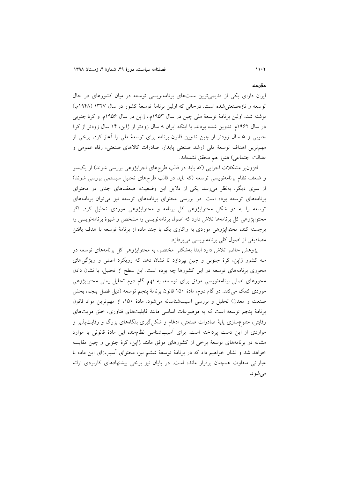ایران دارای یکی از قدیمیترین سنتهای برنامهنویسی توسعه در میان کشورهای در حال توسعه و تازهصنعتی شده است. درحالی که اولین برنامهٔ توسعهٔ کشور در سال ۱۳۲۷ (۱۹۴۸م.) نوشته شد، اولین برنامهٔ توسعهٔ ملی چین در سال ۱۹۵۳م.، ژاپن در سال ۱۹۵۶م. و کرهٔ جنوبی در سال ۱۹۶۲م. تدوین شده بودند. با اینکه ایران ۸ سال زودتر از ژاپن، ۱۴ سال زودتر از کرهٔ جنوبی و ۵ سال زودتر از چین تدوین قانون برنامه برای توسعهٔ ملی را أغاز کرد، برخی از مهمترين اهداف توسعهٔ ملي (رشد صنعتي پايدار، صادرات كالاهاي صنعتي، رفاه عمومي و عدالت اجتماعي) هنوز هم محقق نشدهاند.

افزون بر مشکلات اجرایی (که باید در قالب طرحهای اجراپژوهی بررسی شوند) از یکسو و ضعف نظام برنامهنویسی توسعه (که باید در قالب طرحهای تحلیل سیستمی بررسی شوند) از سوی دیگر، بهنظر میرسد یکی از دلایل این وضعیت، ضعفهای جدی در محتوای برنامههای توسعه بوده است. در بررسی محتوای برنامههای توسعه نیز می توان برنامههای توسعه را به دو شکل محتواپژوهی کل برنامه و محتواپژوهی موردی تحلیل کرد. اگر محتواپژوهی کل برنامهها تلاش دارد که اصول برنامهنویسی را مشخص و شیوهٔ برنامهنویسی را برجسته کند، محتواپژوهی موردی به واکاوی یک یا چند ماده از برنامهٔ توسعه با هدف یافتن مصادیقی از اصول کلی برنامهنویسی میپردازد.

پژوهش حاضر تلاش دارد ابتدا بهشکلی مختصر، به محتواپژوهی کل برنامههای توسعه در سه کشور ژاپن، کرهٔ جنوبی و چین بپردازد تا نشان دهد که رویکرد اصلی و ویژگیهای محوری برنامههای توسعه در این کشورها چه بوده است. این سطح از تحلیل، با نشان دادن محورهای اصلی برنامهنویسی موفق برای توسعه، به فهم گام دوم تحلیل یعنی محتواپژوهی موردی کمک میکند. در گام دوم، مادهٔ ۱۵۰ قانون برنامهٔ پنجم توسعه (ذیل فصل پنجم، بخش صنعت و معدن) تحلیل و بررسی آسیبشناسانه میشود. مادهٔ ۱۵۰، از مهمترین مواد قانون برنامهٔ پنجم توسعه است که به موضوعات اساسی مانند قابلیتهای فناوری، خلق مزیتهای رقابتی، متنوع سازی پایهٔ صادرات صنعتی، ادغام و شکل گیری بنگاههای بزرگ و رقابت پذیر و مواردی از این دست پرداخته است. برای آسیبشناسی نظاممند، این مادهٔ قانونی با موارد مشابه در برنامههای توسعهٔ برخی از کشورهای موفق مانند ژاپن، کرهٔ جنوبی و چین مقایسه خواهد شد و نشان خواهیم داد که در برنامهٔ توسعهٔ ششم نیز، محتوای آسیبزای این ماده با عباراتی متفاوت همچنان برقرار مانده است. در پایان نیز برخی پیشنهادهای کاربردی ارائه مىشود.

مقدمه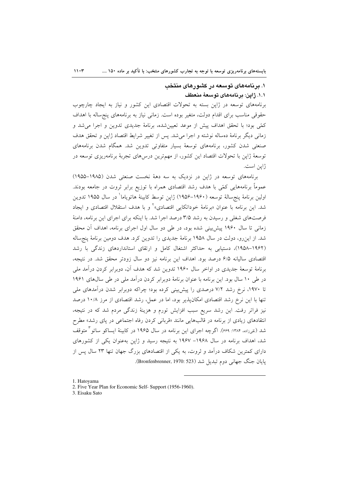## ۱. برنامههای توسعه در کشورهای منتخب ١.١. ژاين: برنامههاي توسعهٔ منعطف

برنامههای توسعه در ژاپن بسته به تحولات اقتصادی این کشور و نیاز به ایجاد چارچوب حقوقی مناسب برای اقدام دولت، متغیر بوده است. زمانی نیاز به برنامههای پنج ساله با اهداف كمّى بود؛ با تحقق اهداف پيش از موعد تعيين شده، برنامهٔ جديدي تدوين و اجرا مي شد و زمانی دیگر برنامهٔ دهساله نوشته و اجرا میشد. پس از تغییر شرایط اقتصاد ژاپن و تحقق هدف صنعتی شدن کشور، برنامههای توسعهٔ بسیار متفاوتی تدوین شد. همگام شدن برنامههای توسعهٔ ژاپن با تحولات اقتصاد این کشور، از مهمترین درس۵مای تجربهٔ برنامهریزی توسعه در ژاين است.

برنامههای توسعه در ژاین در نزدیک به سه دههٔ نخست صنعتی شدن (۱۹۸۵–۱۹۵۵) عموماً برنامههایی کمّی با هدف رشد اقتصادی همراه با توزیع برابر ثروت در جامعه بودند. اولين برنامهٔ ينجسالهٔ توسعه (١٩۶٠–١٩۵۶) ژاپن توسط کابينهٔ هاتوياماً در سال ١٩۵۵ تدوين شد. این برنامه با عنوان «برنامهٔ خوداتکایی اقتصادی»<sup>۲</sup> و با هدف استقلال اقتصادی و ایجاد فرصتهای شغلی و رسیدن به رشد ۳/۵ درصد اجرا شد. با اینکه برای اجرای این برنامه، دامنهٔ زمانی تا سال ۱۹۶۰ پیش بینی شده بود، در طی دو سال اول اجرای برنامه، اهداف آن محقق شد. از این رو، دولت در سال ۱۹۵۸ برنامهٔ جدیدی را تدوین کرد. هدف دومین برنامهٔ پنج ساله (۱۹۶۲–۱۹۵۸)، دستیابی به حداکثر اشتغال کامل و ارتقای استانداردهای زندگی با رشد اقتصادی سالیانه ۶/۵ درصد بود. اهداف این برنامه نیز دو سال زودتر محقق شد. در نتیجه، برنامهٔ توسعهٔ جدیدی در اواخر سال ۱۹۶۰ تدوین شد که هدف آن، دوبرابر کردن درآمد ملی در طی ۱۰ سال بود. این برنامه با عنوان برنامهٔ دوبرابر کردن درآمد ملی در طی سالهای ۱۹۶۱ تا ۱۹۷۰، نرخ رشد ۷/۲ درصدی را پیش بینی کرده بود؛ چراکه دوبرابر شدن درآمدهای ملی تنها با این نرخ رشد اقتصادی امکانپذیر بود، اما در عمل، رشد اقتصادی از مرز ۱۰/۸ درصد نیز فراتر رفت. این رشد سریع سبب افزایش تورم و هزینهٔ زندگی مردم شد که در نتیجه، انتقادهای زیادی از برنامه در قالبهایی مانند «قربانی کردن رفاه اجتماعی در پای رشد» مطرح شد (نقی;اده، ۱۳۸۴: ۶۶۹). اگرچه اجرای این برنامه در سال ۱۹۶۵ در کابینهٔ ایساکو ساتو ٌ متوقف شد، اهداف برنامه در سال ۱۹۶۸– ۱۹۶۷ به نتیجه رسید و ژاپن بهعنوان یکی از کشورهای دارای کمترین شکاف درآمد و ثروت، به یکی از اقتصادهای بزرگ جهان تنها ۲۳ سال پس از یایان جنگ جهانی دوم تبدیل شد (Bronfenbrenner, 1970: 523).

<sup>1.</sup> Hatovama

<sup>2.</sup> Five Year Plan for Economic Self- Support (1956-1960).

<sup>3.</sup> Eisaku Sato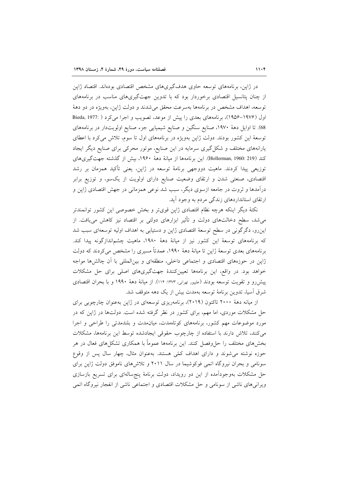در ژاپن، برنامههای توسعه حاوی هدفگیریهای مشخص اقتصادی بودهاند. اقتصاد ژاپن از چنان پتانسیل اقتصادی برخوردار بود که با تدوین جهتگیریهای مناسب در برنامههای توسعه، اهداف مشخص در برنامهها بهسرعت محقق می شدند و دولت ژاپن، بهویژه در دو دههٔ اول (۱۹۷۶–۱۹۵۶)، برنامههای بعدی را پیش از موعد، تصویب و اجرا میکرد ( :Bieda, 1977 68). تا اوایل دههٔ ۱۹۷۰، صنایع سنگین و صنایع شیمیایی جزء صنایع اولویتدار در برنامههای توسعهٔ این کشور بودند. دولت ژاپن بهویژه در برنامههای اول تا سوم، تلاش میکرد با اعطای یارانههای مختلف و شکلگیری سرمایه در این صنایع، موتور محرکی برای صنایع دیگر ایجاد كند (Hollerman, 1960: 219). اين برنامهها از ميانهٔ دههٔ ۱۹۶۰، بيش از گذشته جهت گيرىهاى توزیعی پیدا کردند. ماهیت دووجهی برنامهٔ توسعه در ژاپن، یعنی تأکید همزمان بر رشد اقتصادی، صنعتی شدن و ارتقای وضعیت صنایع دارای اولویت از یکسو، و توزیع برابر درآمدها و ثروت در جامعه ازسوی دیگر، سبب شد نوعی همزمانی در جهش اقتصادی ژاین و ارتقای استانداردهای زندگی مردم به وجود آید.

نکتهٔ دیگر اینکه هرچه نظام اقتصادی ژاپن قویتر و بخش خصوصی این کشور توانمندتر می شد، سطح دخالتهای دولت و تأثیر ابزارهای دولتی بر اقتصاد نیز کاهش می یافت. از اینرو، دگرگونی در سطح توسعهٔ اقتصادی ژاپن و دستیابی به اهداف اولیه توسعهای سبب شد که برنامههای توسعهٔ این کشور نیز از میانهٔ دههٔ ۱۹۸۰، ماهیت چشم|ندازگونه پیدا کند. برنامههای بعدی توسعهٔ ژاپن تا میانهٔ دههٔ ۱۹۹۰، عمدتاً مسیری را مشخص میکردند که دولت ژاپن در حوزههای اقتصادی و اجتماعی داخلی، منطقهای و بینالمللی با آن چالشها مواجه خواهد بود. در واقع، این برنامهها تعیینکنندهٔ جهتگیریهای اصلی برای حل مشکلات پیش رو و تقویت توسعه بودند (علیپور تهرانی، ۱۳۷۳: ۱۱۴). از میانهٔ دههٔ ۱۹۹۰ و با بحران اقتصادی شرق آسیا، تدوین برنامهٔ توسعه بهمدت بیش از یک دهه متوقف شد.

از میانه دههٔ ۲۰۰۰ تاکنون (۲۰۱۹)، برنامهریزی توسعهای در ژاپن بهعنوان چارچوبی برای حل مشکلات موردی، اما مهم، برای کشور در نظر گرفته شده است. دولتها در ژاپن که در مورد موضوعات مهم كشور، برنامههاى كوتامهدت، ميان مدت و بلندمدتى را طراحى و اجرا می کنند، تلاش دارند با استفاده از چارچوب حقوقی ایجادشده توسط این برنامهها، مشکلات بخشهای مختلف را حلeفصل کنند. این برنامهها عموماً با همکاری تشکلهای فعال در هر حوزه نوشته می شوند و دارای اهداف کمّی هستند. بهعنوان مثال، چهار سال پس از وقوع سونامی و بحران نیروگاه اتمی فوکوشیما در سال ۲۰۱۱ و تلاش های ناموفق دولت ژاپن برای حل مشکلات بهوجودآمده از این دو رویداد، دولت برنامهٔ پنجسالهای برای تسریع بازسازی ویرانی های ناشی از سونامی و حل مشکلات اقتصادی و اجتماعی ناشی از انفجار نیروگاه اتمی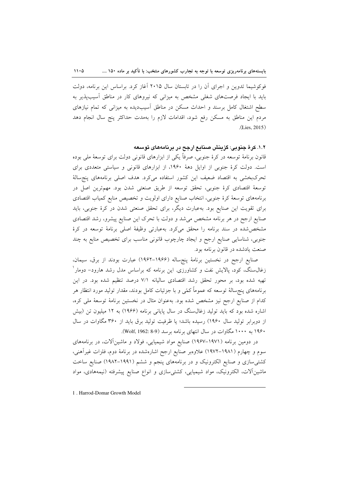فوکوشیما تدوین و اجرای آن را در تابستان سال ۲۰۱۵ آغاز کرد. براساس این برنامه، دولت باید با ایجاد فرصتهای شغلی مشخص به میزانی که نیروهای کار در مناطق آسیب پذیر به سطح اشتغال کامل برسند و احداث مسکن در مناطق آسیبدیده به میزانی که تمام نیازهای مردم این مناطق به مسکن رفع شود، اقدامات لازم را بهمدت حداکثر پنج سال انجام دهد  $(Lies, 2015)$ 

١.٢. کرهٔ جنوبی: گزینش صنایع ارجح در پرنامههای توسعه

قانون برنامهٔ توسعه در کرهٔ جنوبی، صرفاً یکی از ابزارهای قانونی دولت برای توسعهٔ ملی بوده است. دولت کرهٔ جنوبی از اوایل دههٔ ۱۹۶۰، از ابزارهای قانونی و سیاستی متعددی برای تحرکبخشی به اقتصاد ضعیف این کشور استفاده میکرد. هدف اصلی برنامههای پنجسالهٔ توسعهٔ اقتصادی کرهٔ جنوبی، تحقق توسعه از طریق صنعتی شدن بود. مهمترین اصل در برنامههای توسعهٔ کرهٔ جنوبی، انتخاب صنایع دارای اولویت و تخصیص منابع کمیاب اقتصادی برای تقویت این صنایع بود. بهعبارت دیگر، برای تحقق صنعتی شدن در کرهٔ جنوبی، باید صنایع ارجح در هر برنامه مشخص میشد و دولت با تحرک این صنایع پیشرو، رشد اقتصادی مشخص شده در سند برنامه را محقق می کرد. بهعبارتی وظیفهٔ اصلی برنامهٔ توسعه در کرهٔ جنوبی، شناسایی صنایع ارجح و ایجاد چارچوب قانونی مناسب برای تخصیص منابع به چند صنعت یادشده در قانون برنامه بود.

صنایع ارجح در نخستین برنامهٔ پنجساله (۱۹۶۶–۱۹۶۲) عبارت بودند از برق، سیمان، زغالسنگ، کود، پالایش نفت و کشاورزی این برنامه که براساس مدل رشد هارود– دومار ٰ تهیه شده بود، بر محور تحقق رشد اقتصادی سالیانه ۷/۱ درصد تنظیم شده بود. در این برنامههای پنجسالهٔ توسعه که عموماً کمّی و با جزئیات کامل بودند، مقدار تولید مورد انتظار هر كدام از صنايع ارجح نيز مشخص شده بود. بهعنوان مثال در نخستين برنامهٔ توسعهٔ ملي كره، اشاره شده بود که باید تولید زغال سنگ در سال پایانی برنامه (۱۹۶۶) به ۱۲ میلیون تن (بیش از دوبرابر تولید سال ۱۹۶۰) رسیده باشد؛ یا ظرفیت تولید برق باید از ۳۶۰ مگاوات در سال ۱۹۶۰ به ۱۰۰۰ مگاوات در سال انتهای برنامه برسد (Wolf, 1962: 8-9).

در دومین برنامه (۱۹۷۱–۱۹۶۷) صنایع مواد شیمیایی، فولاد و ماشینآلات، در برنامههای سوم و چهارم (۱۹۸۱–۱۹۷۲) علاوهبر صنایع ارجح اشارهشده در برنامهٔ دوم، فلزات غیرآهنی، کشتیسازی و صنایع الکترونیک و در برنامههای پنجم و ششم (۱۹۹۱–۱۹۸۲) صنایع ساخت ماشین آلات، الکترونیک، مواد شیمیایی، کشتی سازی و انواع صنایع پیشرفته (نیمههادی، مواد

1. Harrod-Domar Growth Model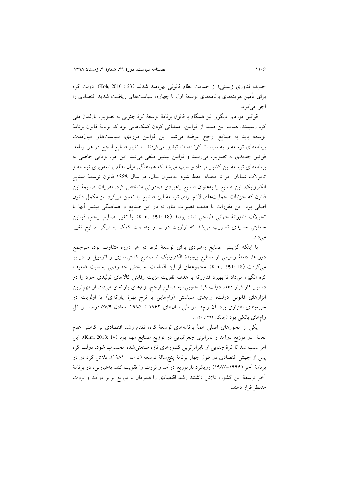جدید، فناوری زیستی) از حمایت نظام قانونی بهرهمند شدند (23 : 2010 .Koh). دولت کره برای تأمین هزینههای برنامههای توسعهٔ اول تا چهارم، سیاستهای ریاضت شدید اقتصادی را اجرا می کرد.

قوانین موردی دیگری نیز همگام با قانون برنامهٔ توسعهٔ کرهٔ جنوبی به تصویب پارلمان ملی کره رسیدند. هدف این دسته از قوانین، عملیاتی کردن کمکهایی بود که برپایهٔ قانون برنامهٔ توسعه باید به صنایع ارجح عرضه میشد. این قوانین موردی، سیاستهای میانمدت برنامههای توسعه را به سیاست کوتاهمدت تبدیل می کردند. با تغییر صنایع ارجح در هر برنامه، قوانین جدیدی به تصویب میرسید و قوانین پیشین ملغی میشد. این امر، پویایی خاصی به برنامههای توسعهٔ این کشور میداد و سبب میشد که هماهنگی میان نظام برنامهریزی توسعه و تحولات شتابان حوزهٔ اقتصاد حفظ شود. بهعنوان مثال، در سال ۱۹۶۹ قانون توسعهٔ صنایع الکترونیک، این صنایع را بهعنوان صنایع راهبردی صادراتی مشخص کرد. مقررات ضمیمهٔ این قانون که جزئیات حمایتهای لازم برای توسعهٔ این صنایع را تعیین میکرد نیز مکمل قانون اصلی بود. این مقررات با هدف تغییرات فناورانه در این صنایع و هماهنگی بیشتر آنها با تحولات فناورانة جهاني طراحي شده بودند (18 :Kim, 1991). با تغيير صنايع ارجح، قوانين حمایتی جدیدی تصویب می شد که اولویت دولت را بهسمت کمک به دیگر صنایع تغییر مے زداد.

با اینکه گزینش صنایع راهبردی برای توسعهٔ کره، در هر دوره متفاوت بود، سرجمع دورهها، دامنهٔ وسیعی از صنایع پیچیدهٔ الکترونیک تا صنایع کشتیسازی و اتومبیل را در بر میگرفت (Kim, 1991: 18). مجموعهای از این اقدامات به بخش خصوصی بهنسبت ضعیف کره انگیزه میداد تا بهبود فناورانه با هدف تقویت مزیت رقابتی کالاهای تولیدی خود را در دستور کار قرار دهد. دولت کرهٔ جنوبی، به صنایع ارجح، وامهای یارانهای میداد. از مهمترین ابزارهای قانونی دولت، وامهای سیاستی (وامهایی با نرخ بهرهٔ یارانهای) یا اولویت در جیرهبندی اعتباری بود. اَن وامها در طی سالهای ۱۹۶۲ تا ۱۹۸۵، معادل ۵۷/۹ درصد از کل وامهای بانکی بود (چانگ، ۱۳۹۲: ۱۴۹).

یکی از محورهای اصلی همهٔ برنامههای توسعهٔ کره، تقدم رشد اقتصادی بر کاهش عدم تعادل در توزیع درآمد و نابرابری جغرافیایی در توزیع صنایع مهم بود (Kim, 2013: 14). این امر سبب شد تا کرهٔ جنوبی از نابرابرترین کشورهای تازه صنعتیشده محسوب شود. دولت کره پس از جهش اقتصادی در طول چهار برنامهٔ پنجسالهٔ توسعه (تا سال ۱۹۸۱)، تلاش کرد در دو برنامهٔ اَخر (۱۹۹۶–۱۹۸۷) رویکرد بازتوزیع دراَمد و ثروت را تقویت کند. بهعبارتی، دو برنامهٔ آخر توسعهٔ این کشور، تلاش داشتند رشد اقتصادی را همزمان با توزیع برابر درآمد و ثروت مدنظر قرار دهند.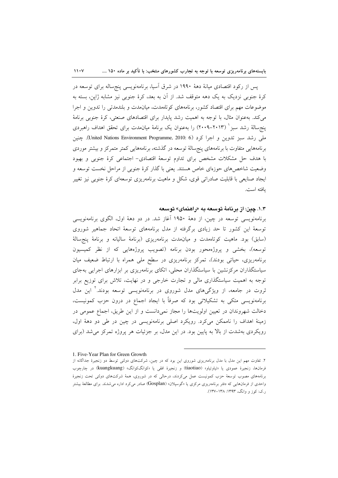پس از رکود اقتصادی میانهٔ دههٔ ۱۹۹۰ در شرق اسیا، برنامهنویسی پنجساله برای توسعه در کرۂ جنوبی نزدیک به یک دهه متوقف شد. از آن به بعد، کرۂ جنوبی نیز مشابه ژاپن، بسته به موضوعات مهم برای اقتصاد کشور، برنامههای کوتاهمدت، میانمدت و بلندمدتی را تدوین و اجرا می کند. بهعنوان مثال، با توجه به اهمیت رشد پایدار برای اقتصادهای صنعتی، کرهٔ جنوبی برنامهٔ ینجرسالهٔ رشد سبز` (۲۰۱۳–۲۰۰۹) را بهعنوان یک برنامهٔ میانمدت برای تحقق اهداف راهبردی ملي رشد سبز تدوين و اجرا كرد (United Nations Environment Programme, 2010: 6). چنين برنامههایی متفاوت با برنامههای پنجسالهٔ توسعه در گذشته، برنامههایی کمتر متمرکز و بیشتر موردی با هدف حل مشکلات مشخص برای تداوم توسعهٔ اقتصادی- اجتماعی کرهٔ جنوبی و بهبود وضعیت شاخصهای حوزهای خاص هستند. یعنی با گذار کرهٔ جنوبی از مراحل نخست توسعه و ایجاد صنایعی با قابلیت صادراتی قوی، شکل و ماهیت برنامهریزی توسعهای کرهٔ جنوبی نیز تغییر يافته است.

#### ۱.۳. چین: از برنامهٔ توسعه به «راهنمای» توسعه

برنامەنويسى توسعە در چين، از دههٔ ۱۹۵۰ آغاز شد. در دو دههٔ اول، الگوي برنامەنويسى توسعهٔ این کشور تا حد زیادی برگرفته از مدل برنامههای توسعهٔ اتحاد جماهیر شوروی (سابق) بود. ماهیت کوتاهمدت و میان مدت برنامهریزی (برنامهٔ سالیانه و برنامهٔ پنج سالهٔ توسعه)، بخشی و پروژهمحور بودن برنامه (تصویب پروژههایی که از نظر کمیسیون برنامهریزی، حیاتی بودند)، تمرکز برنامهریزی در سطح ملی همراه با ارتباط ضعیف میان سیاستگذاران مرکزنشین با سیاستگذاران محلی، اتکای برنامهریزی بر ابزارهای اجرایی بهجای توجه به اهمیت سیاستگذاری مالی و تجارت خارجی و در نهایت، تلاش برای توزیع برابر ثروت در جامعه، از ویژگیهای مدل شوروی در برنامهنویسی توسعه بودند.<sup>۲</sup> این مدل برنامەنويسى متكى بە تشكيلاتى بود كە صرفاً با ايجاد اجماع در درون حزب كمونيست، دخالت شهروندان در تعیین اولویتها را مجاز نمیدانست و از این طریق، اجماع عمومی در زمینهٔ اهداف را ناممکن میکرد. رویکرد اصلی برنامهنویسی در چین در طی دو دههٔ اول، رویکردی بهشدت از بالا به پایین بود. در این مدل، بر جزئیات هر پروژه تمرکز می شد (برای

 $11.4$ 

<sup>1.</sup> Five-Year Plan for Green Growth

۲. تفاوت مهم این مدل با مدل برنامهریزی شوروی این بود که در چین، شرکتهای دولتی توسط دو زنجیرهٔ جداگانه از فرمانها، زنجیرهٔ عمودی یا «تیاوتیاو» (tiaotiao) و زنجیرهٔ افقی یا «کوانگکوانگ» (kuangkuang) در چارچوب برنامههای مصوب توسعهٔ حزب کمونیست عمل میکردند، درحالی که در شوروی، همهٔ شرکتهای دولتی تحت زنجیرهٔ واحدی از فرمانهایی که دفتر برنامهریزی مرکزی یا «گوسپلان» (Gosplan) صادر میکرد اداره می شدند. برای مطالعهٔ بیشتر ر.ک: کوز و وانگ، ۱۳۹۳: ۱۳۸–۱۳۷).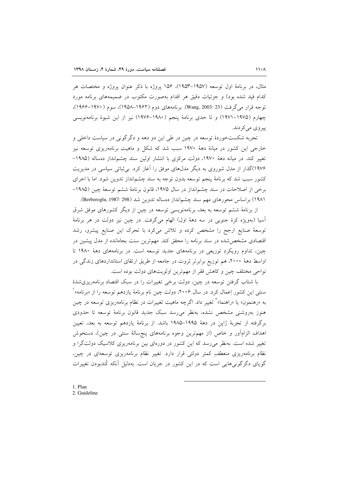مثال، در برنامهٔ اول توسعه (۱۹۵۷–۱۹۵۳)، ۱۵۶ پروژه با ذکر عنوان پروژه و مختصات هر کدام قید شده بود) و جزئیات دقیق هر اقدام بهصورت مکتوب در ضمیمههای برنامه مورد توجه قرار می گرفت (Wang, 2003: 23). برنامههای دوم (۱۹۶۲–۱۹۵۸)، سوم (۱۹۷۰–۱۹۶۶)، چهارم (۱۹۷۵–۱۹۷۱) و تا حدی برنامهٔ ینجم (۱۹۸۰–۱۹۷۶) نیز از این شیوهٔ برنامهنویسی پيروي مي کردند.

تجربه شکستخوردهٔ توسعه در چین در طی این دو دهه و دگرگونی در سیاست داخلی و خارجی این کشور در میانهٔ دههٔ ۱۹۷۰ سبب شد که شکل و ماهیت برنامهریزی توسعه نیز تغییر کند. در میانه دههٔ ۱۹۷۰، دولت مرکزی با انتشار اولین سند چشمانداز دهساله (۱۹۸۵– ۱۹۷۶)گذار از مدل شوروی به دیگر مدلهای موفق را آغاز کرد. بی ثباتی سیاسی در مدیریت کشور سبب شد که برنامهٔ پنجم توسعه بدون توجه به سند چشمانداز تدوین شود. اما با اجرای برخی از اصلاحات در سند چشمانداز در سال ۱۹۷۵، قانون برنامهٔ ششم توسعهٔ چین (۱۹۸۵– ۱۹۸۱) براساس محورهای مهم سند چشمانداز دهساله تدوین شد (Berberoglu, 1987: 298).

از برنامهٔ ششم توسعه به بعد، برنامهنویسی توسعه در چین از دیگر کشورهای موفق شرق آسيا (بهويژه كرهٔ جنوبي در سه دههٔ اول) الهام مي گرفت. در چين نيز دولت در هر برنامهٔ توسعهٔ صنایع ارجح را مشخص کرده و تلاش میکرد با تحرک این صنایع پیشرو، رشد اقتصادی مشخص شده در سند برنامه را محقق کند. مهمترین سنت بجامانده از مدل پیشین در چین، تداوم رویکرد توزیعی در برنامههای جدید توسعه است. در برنامههای دههٔ ۱۹۸۰ تا اواسط دههٔ ۲۰۰۰، هم توزیع برابرتر ثروت در جامعه از طریق ارتقای استانداردهای زندگی در نواحی مختلف چین و کاهش فقر از مهمترین اولویتهای دولت بوده است.

با شتاب گرفتن توسعه در چین، دولت برخی تغییرات را در سبک اقتصاد برنامهریزی شدهٔ سنتبی این کشور اِعمال کرد. در سال ۲۰۰۶، دولت چین نام برنامهٔ یازدهم توسعه را از «برنامه» ٔ به «رهنمون» یا «راهنما»<sup>۲</sup> تغییر داد. اگرچه ماهیت تغییرات در نظام برنامهریزی توسعه در چین هنوز بهروشنی مشخص نشده، بهنظر می رسد سبک جدید قانون برنامهٔ توسعه تا حدودی برگرفته از تجربهٔ ژاپن در دههٔ ۱۹۹۵–۱۹۸۵ باشد. از برنامهٔ یازدهم توسعه به بعد، تعیین اهداف الزامآور و خاص (از مهمترین وجوه برنامههای پنجسالهٔ سنتی در چین)، دستخوش تغییر شده است. بهنظر می رسد که این کشور در دورهای بین برنامهریزی کلاسیک دولتگرا و نظام برنامهریزی منعطفِ کمتر دولتی قرار دارد. تغییر نظام برنامهریزی توسعهای در چین، گویای دگرگونیهایی است که در این کشور در جریان است. بهدلیل آنکه کُندبودن تغییرات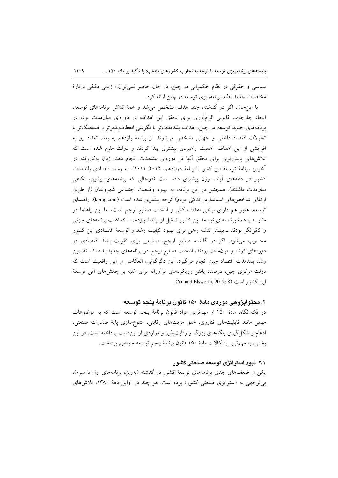سیاسی و حقوقی در نظام حکمرانی در چین، در حال حاضر نمی توان ارزیابی دقیقی دربارهٔ مختصات جدید نظام برنامهریزی توسعه در چین ارائه کرد.

با این حال، اگر در گذشته، چند هدف مشخص می شد و همهٔ تلاش برنامههای توسعه، ایجاد چارچوب قانونی الزامآوری برای تحقق این اهداف در دورمای میانمدت بود، در برنامههای جدید توسعه در چین، اهداف بلندمدتتر با نگرشی انعطاف پذیرتر و هماهنگتر با تحولات اقتصاد داخلی و جهانی مشخص میشوند. از برنامهٔ یازدهم به بعد، تعداد رو به افزایشی از این اهداف، اهمیت راهبردی بیشتری پیدا کردند و دولت ملزم شده است که تلاش های پایدارتری برای تحقق آنها در دورهای بلندمدت انجام دهد. زبان بهکاررفته در أخرين برنامة توسعة اين كشور (برنامة دوازدهم، ٢٠١۵–٢٠١١)، به رشد اقتصادى بلندمدت کشور در دهههای آینده وزن بیشتری داده است (درحالی که برنامههای پیشین، نگاهی میان مدت داشتند). همچنین در این برنامه، به بهبود وضعیت اجتماعی شهروندان (از طریق ارتقای شاخصهای استاندارد زندگی مردم) توجه بیشتری شده است (kpmg.com). راهنمای توسعه، هنوز هم دارای برخی اهداف کمّی و انتخاب صنایع ارجح است، اما این راهنما در مقایسه با همهٔ برنامههای توسعهٔ این کشور تا قبل از برنامهٔ یازدهم ـ که اغلب برنامههای جزئی و کمّینگر بودند ــ بیشتر نقشهٔ راهی برای بهبود کیفیت رشد و توسعهٔ اقتصادی این کشور محسوب میشود. اگر در گذشته صنایع ارجح، صنایعی برای تقویت رشد اقتصادی در دورههای کوتاه و میانمدت بودند، انتخاب صنایع ارجح در برنامههای جدید با هدف تضمین رشد بلندمدت اقتصاد چین انجام میگیرد. این دگرگونی، انعکاسی از این واقعیت است که دولت مرکزی چین، درصدد یافتن رویکردهای نوآورانه برای غلبه بر چالشهای آتی توسعهٔ این کشور است (Yu and Elsworth, 2012: 8).

### ۲. محتوایژوهی موردی مادهٔ ۱۵۰ قانون برنامهٔ ینجم توسعه

در یک نگاه، مادهٔ ۱۵۰ از مهمترین مواد قانون برنامهٔ پنجم توسعه است که به موضوعات مهمی مانند قابلیتهای فناوری، خلق مزیتهای رقابتی، متنوعسازی پایهٔ صادرات صنعتی، ادغام و شکل گیری بنگاههای بزرگ و رقابتپذیر و مواردی از ایندست پرداخته است. در این بخش، به مهمترين اِشكالات مادهٔ ۱۵۰ قانون برنامهٔ پنجم توسعه خواهيم پرداخت.

#### ۲۰۱. نبود استراتژی توسعهٔ صنعتی کشور

یکی از ضعفهای جدی برنامههای توسعهٔ کشور در گذشته (بهویژه برنامههای اول تا سوم)، بر توجهی به «استراتژی صنعتی کشور» بوده است. هر چند در اوایل دههٔ ۱۳۸۰، تلاشهای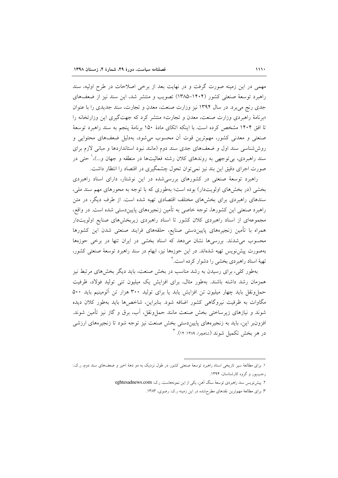مهمی در این زمینه صورت گرفت و در نهایت بعد از برخی اصلاحات در طرح اولیه، سند راهیرد توسعهٔ صنعتی کشور (۱۴۰۴–۱۳۸۵) تصویب و منتشر شد، این سند نیز از ضعفهای جدی رنج می برد. در سال ۱۳۹۴ نیز وزارت صنعت، معدن و تجارت، سند جدیدی را با عنوان «برنامهٔ راهبردی وزارت صنعت، معدن و تجارت» منتشر کرد که جهتگیری این وزارتخانه را تا افق ۱۴۰۴ مشخص کرده است. با اینکه اتکای مادهٔ ۱۵۰ برنامهٔ پنجم به سند راهبرد توسعهٔ صنعتی و معدنی کشور، مهمترین قوت آن محسوب میشود، بهدلیل ضعفهای محتوایی و روششناسی سند اول و ضعفهای جدی سند دوم (مانند نبود استانداردها و مبانی لازم برای سند راهبردی، بی توجهی به روندهای کلان رشته فعالیتها در منطقه و جهان و…)، صحتی در صورت اجرای دقیق این بند نیز نمی توان تحول چشمگیری در اقتصاد را انتظار داشت.

راهبرد توسعهٔ صنعتی در کشورهای بررسیشده در این نوشتار، دارای اسناد راهبردی بخشی (در بخش های اولویتدار) بوده است؛ بهطوری که با توجه به محورهای مهم سند ملی، سندهای راهبردی برای بخشهای مختلف اقتصادی تهیه شده است. از طرف دیگر، در متن راهبرد صنعتی این کشورها، توجه خاصی به تأمین زنجیرههای پاییندستی شده است. در واقع، مجموعهای از اسناد راهبردی کلان کشور تا اسناد راهبردی زیربخشهای صنایع اولویتدار همراه با تأمین زنجیرههای پاییندستی صنایع، حلقههای فرایند صنعتی شدن این کشورها محسوب می شدند. بررسی ها نشان میدهد که اسناد بخشی در ایران تنها در برخی حوزهها بهصورت پیشنویس تهیه شدهاند. در این حوزهها نیز، ابهام در سند راهبرد توسعهٔ صنعتی کشور، تهیهٔ اسناد راهبردی بخشی را دشوار کرده است.<sup>۲</sup>

بهطور کلی، برای رسیدن به رشد مناسب در بخش صنعت، باید دیگر بخشهای مرتبط نیز همزمان رشد داشته باشند. بهطور مثال، براى افزايش يك ميليون تنى توليد فولاد، ظرفيت حمل ونقل باید چهار میلیون تن افزایش یابد یا برای تولید ۳۰۰ هزار تن آلومینیم باید ۵۰۰ مگاوات به ظرفیت نیروگاهی کشور اضافه شود. بنابراین، شاخصها باید بهطور کلان دیده شوند و نیازهای زیرساختی بخش صنعت مانند حملونقل، آب، برق و گاز نیز تأمین شوند. افزونبر این، باید به زنجیرههای پاییندستی بخش صنعت نیز توجه شود تا زنجیرههای ارزشی در هر بخش تکمیل شوند (شاهچرا، ۱۳۸۹: ۱۴). ۳

۱. برای مطالعهٔ سیر تاریخی اسناد راهبرد توسعهٔ صنعتی کشور در طول نزدیک به دو دههٔ اخیر و ضعفهای سند دوم، ر.ک.: رجبپور و گروه کارشناسان، ۱۳۹۴.

۲. پیش نویس سند راهبردی توسعهٔ سنگ آهن، یکی از این نمونههاست. ر.ک: eghtesadnews.com

۳. برای مطالعهٔ مهمترین نقدهای مطرحشده در این زمینه ر.ک: رضوی، ۱۳۸۳.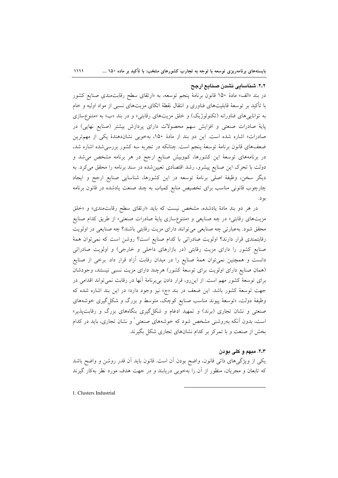٢.٢. شناساتی نشدن صناتع ارجح

در بند «الف» مادهٔ ۱۵۰ قانون برنامهٔ پنجم توسعه، به «ارتقای سطح رقابت۰ندی صنایع کشور با تأکید بر توسعهٔ قابلیتهای فناوری و انتقال نقطهٔ اتکای مزیتهای نسبی از مواد اولیه و خام به توانایی های فناورانه (تکنولوژیک) و خلق مزیتهای رقابتی» و در بند «ب» به «متنوعسازی پایهٔ صادرات صنعتی و افزایش سهم محصولات دارای پردازش بیشتر (صنایع نهایی) در صادرات» اشاره شده است. این دو بند از مادهٔ ۱۵۰، بهخوبی نشاندهندهٔ یکی از مهمترین ضعفهای قانون برنامهٔ توسعهٔ پنجم است. چنانکه در تجربه سه کشور بررسی شده اشاره شد، در برنامههای توسعهٔ این کشورها، کموبیش صنایع ارجح در هر برنامه مشخص میشد و دولت با تحرک این صنایع پیشرو، رشد اقتصادی تعیین شده در سند برنامه را محقق می کرد. به دیگر سخن، وظیفهٔ اصلی برنامهٔ توسعه در این کشورها، شناسایی صنایع ارجح و ایجاد چارچوب قانونی مناسب برای تخصیص منابع کمیاب به چند صنعت یادشده در قانون برنامه بو د.

در هر دو بند مادهٔ یادشده، مشخص نیست که باید «ارتقای سطح رقابتمندی» و «خلق مزیتهای رقابتی» در چه صنایعی و «متنوعسازی پایهٔ صادرات صنعتی» از طریق کدام صنایع محقق شود. به عبارتی چه صنایعی می توانند دارای مزیت رقابتی باشند؟ چه صنایعی در اولویت رقابتمندی قرار دارند؟ اولویت صادراتی با کدام صنایع است؟ روشن است که نمی توان همهٔ صنایع کشور را دارای مزیت رقابتی (در بازارهای داخلی و خارجی) و اولویت صادراتی دانست و همچنین نمیٍتوان همهٔ صنایع را در میدان رقابت آزاد قرار داد. برخی از صنایع (همان صنایع دارای اولویت برای توسعهٔ کشور) هرچند دارای مزیت نسبی نیستند، وجودشان برای توسعهٔ کشور مهم است. از این رو، قرار دادن بی برنامهٔ آنها در رقابت نمی تواند اقدامی در جهت توسعهٔ کشور باشد. این ضعف در بند «ج» نیز وجود دارد؛ در این بند اشاره شده که وظیفهٔ دولت، «توسعهٔ ییوند مناسب صنایع کوچک، متوسط و بزرگ و شکل گیری خوشههای صنعتی و نشان تجاری (برند) و تمهید ادغام و شکل گیری بنگاههای بزرگ و رقابتپذیر» است، بدون آنکه بهروشنی مشخص شود که خوشههای صنعتی ٰ و نشان تجاری، باید در کدام بخش از صنعت و با تمرکز بر کدام نشانهای تجاری شکل بگیرند.

#### ۲.۳. مبهم و کلی بودن

یکی از ویژگیهای ذاتی قانون، واضح بودن آن است. قانون باید آن قدر روشن و واضح باشد که تابعان و مجریان، منظور از آن را بهخوبی دریابند و در جهت هدف مورد نظر بهکار گیرند

1. Clusters Industrial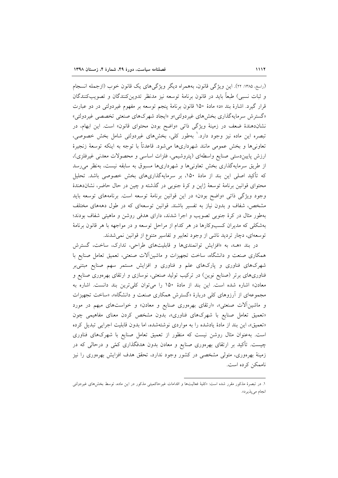(راسخ، ۱۳۸۵: ۲۲). این ویژگی قانون، بههمراه دیگر ویژگیهای یک قانون خوب (ازجمله انسجام و ثبات نسبي) طبعاً بايد در قانون برنامهٔ توسعه نيز مدنظر تدوين كنندگان و تصويب كنندگان قرار گيرد. اشارهٔ بند «د» مادهٔ ۱۵۰ قانون برنامهٔ پنجم توسعه بر مفهوم غيردولتي در دو عبارت «گسترش سرمایهگذاری بخشهای غیردولتی»و «ایجاد شهرکهای صنعتی تخصصی غیردولتی» نشاندهندهٔ ضعف در زمینهٔ ویژگی ذات<sub>ی</sub> «واضح بودن محتوای قانون» است. این ابهام، در تبصره این ماده نیز وجود دارد. ٰ بهطور کلی، بخشهای غیردولتی شامل بخش خصوصی، تعاونیها و بخش عمومی مانند شهرداریها میشود. قاعدتاً با توجه به اینکه توسعهٔ زنجیرهٔ ارزش پاییندستی صنایع واسطهای (پتروشیمی، فلزات اساسی و محصولات معدنی غیرفلزی)، از طریق سرمایهگذاری بخش تعاونی ها و شهرداری ها مسبوق به سابقه نیست، بهنظر می رسد که تأکید اصلی این بند از مادهٔ ۱۵۰، بر سرمایهگذاریهای بخش خصوصی باشد. تحلیل محتوای قوانین برنامهٔ توسعهٔ ژاپن و کرهٔ جنوبی در گذشته و چین در حال حاضر، نشاندهندهٔ وجود ویژگی ذاتی «واضح بودن» در این قوانین برنامهٔ توسعه است. برنامههای توسعه باید مشخص، شفاف و بدون نیاز به تفسیر باشند. قوانین توسعهای که در طول دهههای مختلف بهطور مثال در کرهٔ جنوبی تصویب و اجرا شدند، دارای هدفی روشن و ماهیتی شفاف بودند؛ بهشکلی که مدیران کسبوکارها در هر کدام از مراحل توسعه و در مواجهه با هر قانون برنامهٔ توسعهای، دچار تردید ناشی از وجود تعابیر و تفاسیر متنوع از قوانین نمی شدند.

در بند «هـ»، به «افزايش توانمنديها و قابليتهاي طراحي، تدارك، ساخت، گسترش همکاری صنعت و دانشگاه، ساخت تجهیزات و ماشینآلات صنعتی، تعمیق تعامل صنایع با شهرکهای فناوری و پارکهای علم و فناوری و افزایش مستمر سهم صنایع مبتنیبر فناوریهای برتر (صنایع نوین) در ترکیب تولید صنعتی، نوسازی و ارتقای بهرهوری صنایع و معادن» اشاره شده است. این بند از مادهٔ ۱۵۰ را می توان کلی ترین بند دانست. اشاره به مجموعهای از آرزوهای کل<sub>ی</sub> دربارهٔ «گسترش همکاری صنعت و دانشگاه»، «ساخت تجهیزات و ماشینآلات صنعتی»، «ارتقای بهرهوری صنایع و معادن» و خواستهای مبهم در مورد «تعمیق تعامل صنایع با شهرکهای فناوری»، بدون مشخص کردن معنای مفاهیمی چون «تعمیق»، این بند از مادهٔ یادشده را به مواردی نوشتهشده، اما بدون قابلیت اجرایی تبدیل کرده است. به عنوان مثال روشن نیست که منظور از تعمیق تعامل صنایع با شهرکهای فناوری چیست. تأکید بر ارتقای بهرهوری صنایع و معادن بدون هدفگذاری کمّی و درحال<sub>ی</sub> که در زمینهٔ بهرهوری، متولی مشخصی در کشور وجود ندارد، تحقق هدف افزایش بهرهوری را نیز ناممکن کرده است.

۱. در تبصرهٔ مذکور مقرر شده است: «کلیهٔ فعالیتها و اقدامات غیرحاکمیتی مذکور در این ماده، توسط بخشهای غیردولتی انجام ميپذيرد».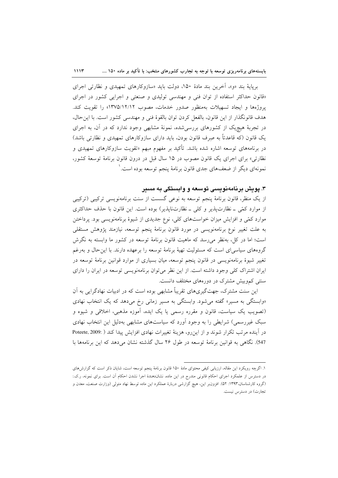$1117$ 

برپایهٔ بند «و»، آخرین بند مادهٔ ۱۵۰، دولت باید «سازوکارهای تمهیدی و نظارتی اجرای «قانون حداکثر استفاده از توان فنی و مهندسی تولیدی و صنعتی و اجرایی کشور در اجرای پروژهها و ایجاد تسهیلات بهمنظور صدور خدمات، مصوب ۱۲/۵/۱۲/۱۲» را تقویت کند. هدف قانونگذار از این قانون، بالفعل کردن توان بالقوهٔ فنی و مهندسی کشور است. با این حال، در تجربهٔ هیچیک از کشورهای بررسیشده، نمونهٔ مشابهی وجود ندارد که در آن، به اجرای یک قانون (که قاعدتاً به صِرف قانون بودن، باید دارای سازوکارهای تمهیدی و نظارتی باشد) در برنامههای توسعه اشاره شده باشد. تأکید بر مفهوم مبهم «تقویت سازوکارهای تمهیدی و نظارتي» براي اجراي يک قانون مصوب در ۱۵ سال قبل در درون قانون برنامهٔ توسعهٔ کشور، نمونهای دیگر از ضعفهای جدی قانون برنامهٔ پنجم توسعه بوده است. ٰ

#### ۳. پویش برنامهنویسی توسعه و وابستگی به مسیر

از یک منظر، قانون برنامهٔ پنجم توسعه به نوعی گسست از سنت برنامهنویسی ترکیبی (ترکیبی از موارد کمّی ـ نظارتپذیر و کلّی ـ نظارتناپذیر) بوده است. این قانون با حذف حداکثری موارد کمّی و افزایش میزان خواستهای کلی، نوع جدیدی از شیوهٔ برنامهنویسی بود. پرداختن به علت تغییر نوع برنامهنویسی در مورد قانون برنامهٔ پنجم توسعه، نیازمند پژوهش مستقلی است؛ اما در کل، بهنظر می رسد که ماهیت قانون برنامهٔ توسعه در کشور ما وابسته به نگرش گروههای سیاسی ای است که مسئولیت تهیهٔ برنامهٔ توسعه را برعهده دارند. با این حال و بهرغم تغییر شیوهٔ برنامهنویسی در قانون پنجم توسعه، میان بسیاری از موارد قوانین برنامهٔ توسعه در ایران اشتراک کلی وجود داشته است. از این نظر میتوان برنامهنویسی توسعه در ایران را دارای سنتی کموبیش مشترک در دورههای مختلف دانست.

این سنت مشترک، جهتگیریهای تقریباً مشابهی بوده است که در ادبیات نهادگرایی به آن «وابستگی به مسیر» گفته می شود. وابستگی به مسیر زمانی رخ می دهد که یک انتخاب نهادی (تصویب یک سیاست، قانون و مقرره رسمی یا یک ایده، آموزه مذهبی، اخلاقی و شیوه و سبک غیررسمی) شرایطی را به وجود آورد که سیاستهای مشابهی بهدلیل این انتخاب نهادی در آینده مرتب تکرار شوند و از این رو، هزینهٔ تغییرات نهادی افزایش پیدا کند ( :Poteete, 2009 547). نگاهی به قوانین برنامهٔ توسعه در طول ۲۶ سال گذشته نشان می دهد که این برنامهها با

١. اگرچه رویکرد این مقاله، ارزیابی کیفی محتوای مادهٔ ١۵٠ قانون برنامهٔ پنجم توسعه است، شایان ذکر است که گزارش های در دسترس از علمکرد اجرای احکام قانونی مندرج در این ماده، نشاندهندهٔ اجرا نشدن احکام آن است. برای نمونه، ر.ک.: (گروه کارشناسان،۱۳۹۳: ۵۲). افزونبر این، هیچ گزارشی دربارهٔ عملکرد این ماده توسط نهاد متولی (وزارت صنعت، معدن و تجارت) در دسترس نیست.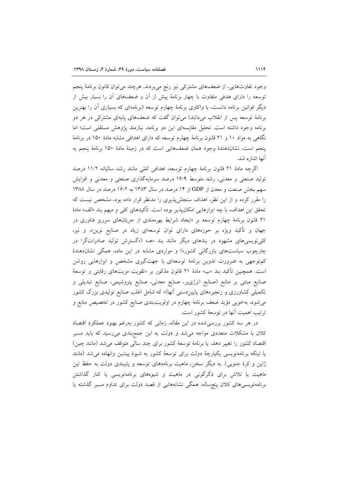وجود تفاوتهایی، از ضعفهای مشترکی نیز رنج میبردند. هرچند میتوان قانون برنامهٔ پنجم توسعه را دارای هدفی متفاوت با چهار برنامهٔ پیش از آن و ضعفهای آن را بسیار بیش از دیگر قوانین برنامه دانست، با واکاوی برنامهٔ چهارم توسعه (برنامهای که بسیاری أن را بهترین برنامهٔ توسعه پس از انقلاب میدانند) میتوان گفت که ضعفهای پایهای مشترکی در هر دو برنامه وجود داشته است. تحلیل مقایسهای این دو برنامه، نیازمند پژوهش مستقلی است؛ اما نگاهی به مواد ۱۰ و ۲۱ قانون برنامهٔ چهارم توسعه که دارای اهدافی مشابه مادهٔ ۱۵۰ در برنامهٔ ينجم است، نشاندهندهٔ وجود همان ضعفهايي است كه در زمينهٔ مادهٔ ۱۵۰ برنامهٔ ينجم به آنها اشاره شد.

اگرچه مادهٔ ۲۱ قانون برنامهٔ چهارم توسعه، اهدافی کمّی مانند رشد سالیانه ۱۱/۲ درصد تولید صنعتی و معدنی، رشد متوسط ۱۶/۹ درصد سرمایهگذاری صنعتی و معدنی و افزایش سهم بخش صنعت و معدن از GDP از ۱۴ درصد در سال ۱۳۸۳ به ۱۶/۲ درصد در سال ۱۳۸۸ را مقرر کرده و از این نظر، اهداف سنجشپذیری را مدنظر قرار داده بود، مشخص نیست که تحقق این اهداف، با چه ابزارهایی امکان،پذیر بوده است. تأکیدهای کل<sub>ی</sub> و مبهم بند «الف» مادهٔ ۲۱ قانون برنامهٔ چهارم توسعه بر «ایجاد شرایط بهرهمندی از جریانهای سرریز فناوری در جهان و تأکید ویژه بر حوزههای دارای توان توسعهای زیاد در صنایع نوین»، و نیز، کلی نویسی های مشهود در بندهای دیگر مانند بند «هـ» («گسترش تولید صادراتگرا در چارچوب سیاستهای بازرگانی کشور») و مواردی مشابه در این ماده، همگی نشاندهندهٔ کم توجهی به ضرورت تدوین برنامهٔ توسعهای با جهتگیری مشخص و ابزارهایی روشن است. همچنین تأکید بند «ب» مادهٔ ۲۱ قانون مذکور بر «تقویت مزیتهای رقابتی و توسعهٔ صنایع مبتنی بر منابع (صنایع انرژیبر، صنایع معدنی، صنایع پتروشیمی، صنایع تبدیلی و تکمیلی کشاورزی و زنجیرههای پاییندستی آنها)» که شامل اغلب صنایع تولیدی بزرگ کشور می شود، بهخوبی مؤید ضعف برنامهٔ چهارم در اولویتبندی صنایع کشور در تخصیص منابع و ترتيب اهميت أنها در توسعهٔ کشور است.

در هر سه کشور بررسیشده در این مقاله، زمانی که کشور بهرغم بهبود عملکرد اقتصاد کلان با مشکلات متعددی مواجه می شد و دولت به این جمع بندی می رسید که باید مسیر اقتصاد کشور را تغییر دهد، یا برنامهٔ توسعهٔ کشور برای چند سالی متوقف می شد (مانند چین) یا اینکه برنامهنویسی یکپارچهٔ دولت برای توسعهٔ کشور به شیوهٔ پیشین وانهاده می شد (مانند ژاپن و کرهٔ جنوبی). به دیگر سخن، ماهیت برنامههای توسعه و پایبندی دولت به حفظ این ماهیت یا تلاش برای دگرگونی در ماهیت و شیوههای برنامهنویسی یا کنار گذاشتن برنامەنويسىماي كلان پنج سالە، ھمگى نشانەھايى از قصد دولت براي تداوم مسير گذشته يا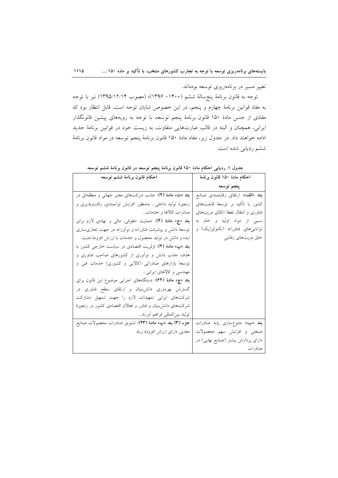تغییر مسیر در برنامهریزی توسعه بودهاند.

توجه به قانون برنامهٔ پنج سالهٔ ششم (۱۴۰۰– ۱۳۹۶)» (مصوب ۱۳۹۵/۱۲/۱۴) نیز با توجه به مفاد قوانین برنامهٔ چهارم و پنجم، در این خصوص شایان توجه است. قابل انتظار بود که مفادی از جنس مادهٔ ۱۵۰ قانون برنامهٔ پنجم توسعه، با توجه به رویههای پیشین قانونگذار ایرانی، همچنان و البته در قالب عبارتهایی متفاوت، به زیست خود در قوانین برنامهٔ جدید ادامه خواهند داد. در جدول زیر، مفاد مادهٔ ۱۵۰ قانون برنامهٔ پنجم توسعه در مواد قانون برنامهٔ ششم ردیابی شده است.

| احكام قانون برنامهٔ ششم توسعه                                   | احكام مادهٔ ۱۵۰ قانون برنامهٔ           |
|-----------------------------------------------------------------|-----------------------------------------|
|                                                                 | پنجم توسعه                              |
| <b>بند «ث» مادهٔ (۴)</b> : جذب شرکتهای معتبر جهانی و منطقهای در | بند «الف»: ارتقاى رقابتمندى صنايع       |
| زنجیرهٔ تولید داخلی بهمنظور افزایش توانمندی، رقابتپذیری و       | كشور با تأكيد بر توسعهٔ قابليتهاى       |
| صادرات كالاها و خدمات                                           | فناوری و انتقال نقطهٔ اتکای مزیتهای     |
| بند «ج» مادهٔ (۴): حمایت حقوقی، مالی و نهادی لازم برای          | نسبي از مواد اوليه و خام به             |
| توسعهٔ دانش و پیشرفت فناورانه و نوأورانه در جهت تجاریٍسازی      | تواناییهای فناورانه (تکنولوژیک) و       |
| ایده و دانش در تولید محصول و خدمات با ارزش افزودهٔ مثبت.        | خلق مزیتهای رقابتی                      |
| بند «پ» مادهٔ (۴): اولویت اقتصادی در سیاست خارجی کشور با        |                                         |
| هدف جذب دانش و نوآوری از کشورهای صاحب فناوری و                  |                                         |
| توسعهٔ بازارهای صادراتی (کالایی و کشوری) خدمات فنی و            |                                         |
| مهندسی و کالاهای ایرانی                                         |                                         |
| بند «چ» مادهٔ (۶۴): دستگاههای اجرایی موضوع این قانون برای       |                                         |
| گسترش بهرهوری دانش بنیان و ارتقای سطح فناوری در                 |                                         |
| شرکتهای ایرانی تمهیدات لازم را جهت تسهیل مشارکت                 |                                         |
| شرکتهای دانش بنیان و فناور و فعالان اقتصادی کشور در زنجیرهٔ     |                                         |
| توليد بين لمللي فراهم أورند                                     |                                         |
| جزء (۳) بند «پ» مادهٔ (۴۳): تشویق صادرات محصولات صنایع          | <b>بند</b> «ب»: متنوعِسازی پایهٔ صادرات |
| معدنى داراى ارزش افزودهٔ زياد                                   | صنعتی و افزایش سهم محصولات              |
|                                                                 | دارای پردازش بیشتر (صنایع نهایی) در     |
|                                                                 | صادرات                                  |

جدول ۱. ردیابی احکام مادهٔ ۱۵۰ قانون برنامهٔ پنجم توسعه در قانون برنامهٔ ششم توسعه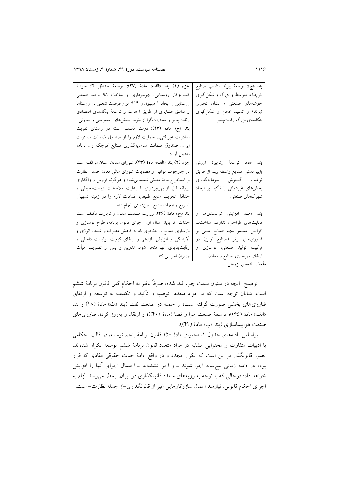| جزء (١) بند «الف» مادة (٢٧): توسعهٔ حداقل ٥۴ خوشهٔ                    | <b>بند «ج»:</b> توسعهٔ پیوند مناسب صنایع |
|-----------------------------------------------------------------------|------------------------------------------|
| کسبوکار روستایی، بهرهبرداری و ساخت ۹۸ ناحیهٔ صنعتی                    | کوچک، متوسط و بزرگ و شکل گیری            |
| روستایی و ایجاد ۱ میلیون و ۹۱۴ هزار فرصت شغلی در روستاها              | خوشههای صنعتی و نشان تجاری               |
| و مناطق عشایری از طریق احداث و توسعهٔ بنگاههای اقتصادی                | (برند) و تمهید ادغام و شکل گیری          |
| رقابتپذیر و صادراتگرا از طریق بخشهای خصوصی و تعاونی                   | بنگاههای بزرگ رقابتپذیر                  |
| <b>بند «خ» مادهٔ (۴۶):</b> دولت مکلف است در راستای تقویت              |                                          |
| صادرات غیرنفتی… حمایت لازم را از صندوق ضمانت صادرات                   |                                          |
| ایران، صندوق ضمانت سرمایهگذاری صنایع کوچک و… برنامه                   |                                          |
| بەعمل أورد.                                                           |                                          |
| جزء (۲) بند «الف» مادهٔ (۴۳): شورای معادن استان موظف است              | <b>بند</b> «د»: توسعهٔ زنجیرهٔ ارزش      |
| در چارچوب قوانین و مصوبات شورای عالی معادن ضمن نظارت                  | پاییندستی صنایع واسطهای از طریق          |
| بر استخراج مادهٔ معدنی شناساییشده و هرگونه فروش و واگذاری             | ترغيب گسترش سرمايهگذاري                  |
| پروانه قبل از بهرهبرداری با رعایت ملاحظات زیستمحیطی و                 | بخشهای غیردولتی با تأکید بر ایجاد        |
| حداقل تخریب منابع طبیعی، اقدامات لازم را در زمینهٔ تسهیل،             | شهرکهاي صنعتي                            |
| تسریع و ایجاد صنایع پاییندستی انجام دهد.                              |                                          |
| <b>بند</b> «ح» م <b>ادهٔ (۴۶</b> ): وزارت صنعت، معدن و تجارت مکلف است | بند «هـ»: افزايش توانمندي ها و           |
| حداکثر تا پایان سال اول اجرای قانون برنامه، طرح نوسازی و              | قابلیتهای طراحی، تدارک، ساخت             |
| بازسازی صنایع را بهنحوی که به کاهش مصرف و شدت انرژی و                 | افزایش مستمر سهم صنایع مبتنی بر          |
| آلایندگی و افزایش بازدهی و ارتقای کیفیت تولیدات داخلی و               | فناوریهای برتر (صنایع نوین) در           |
| رقابتپذیری أنها منجر شود، تدوین و پس از تصویب هیأت                    | ترکیب تولید صنعتی، نوسازی و              |
| وزيران اجرايي كند.                                                    | ارتقای بهرهوری صنایع و معادن             |

.<br>مأخذ: يافتههاى يژوهش.

توضيح: أنچه در ستون سمت چپ قيد شده، صرفاً ناظر به احکام کلي قانون برنامهٔ ششم است. شایان توجه است که در مواد متعدد، توصیه و تأکید و تکلیف به توسعه و ارتقای فناوریهای بخشی صورت گرفته است؛ از جمله در صنعت نفت (بند «ث» مادهٔ (۴۸) و بند «الف» مادهٔ (۶۵))؛ توسعهٔ صنعت هوا و فضا (مادهٔ (۴۰))؛ و ارتقاء و بهروز کردن فناوریهای صنعت هواييماسازي (بند «ب» مادهٔ (۴۲)).

براساس یافتههای جدول ۱، محتوای مادهٔ ۱۵۰ قانون برنامهٔ پنجم توسعه، در قالب احکامی با ادبیات متفاوت و محتوایی مشابه در مواد متعدد قانون برنامهٔ ششم توسعه تکرار شدهاند. تصور قانونگذار بر این است که تکرار مجدد و در واقع ادامهٔ حیات حقوقی مفادی که قرار بوده در دامنهٔ زمانی پنجساله اجرا شوند ـ و اجرا نشدهاند ـ احتمال اجرای أنها را افزایش خواهد داد؛ درحالی که با توجه به رویههای متعدد قانونگذاری در ایران، بهنظر می رسد الزام به اجراي احكام قانوني، نيازمند إعمال سازوكارهايي غير از قانونگذاري-از جمله نظارت- است.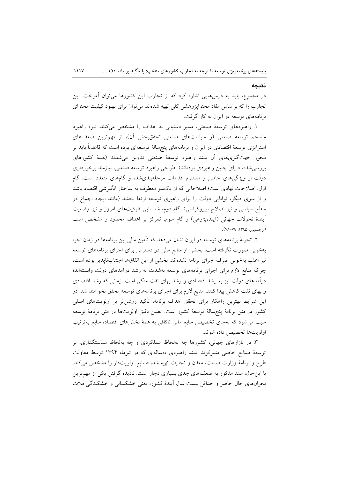#### نتيجه

در مجموع، باید به درس۵هایی اشاره کرد که از تجارب این کشورها میتوان آموخت. این تجارب را که براساس مفاد محتوایژوهشی کلی تهیه شدهاند می توان برای بهبود کیفیت محتوای برنامههای توسعه در ایران به کار گرفت.

١. راهبردهای توسعهٔ صنعتی، مسیر دستیابی به اهداف را مشخص میکنند. نبود راهبرد منسجم توسعهٔ صنعتی (و سیاستهای صنعتی تحققبخش أن)، از مهمترین ضعفهای استراتژی توسعهٔ اقتصادی در ایران و برنامههای پنجسالهٔ توسعهای بوده است که قاعدتاً باید بر محور جهتگیریهای أن سند راهبرد توسعهٔ صنعتی تدوین میشدند (همهٔ کشورهای بررسیشده، دارای چنین راهبردی بودهاند). طراحی راهبرد توسعهٔ صنعتی، نیازمند برخورداری دولت از ویژگیهای خاص و مستلزم اقدامات مرحلهبندیشده و گامهای متعدد است. گام اول، اصلاحات نهادي است؛ اصلاحاتي كه از يكسو معطوف به ساختار انگيزشي اقتصاد باشد و از سوی دیگر، توانایی دولت را برای راهبری توسعه ارتقا بخشد (مانند ایجاد اجماع در سطح سیاسی و نیز اصلاح بوروکراسی). گام دوم، شناسایی ظرفیتهای امروز و نیز وضعیت أيندهٔ تحولات جهاني (أيندهپژوهي) و گام سوم، تمرکز بر اهداف محدود و مشخص است (رجبيور، ١٣٩۵: ٧٩–٧٨).

۲. تجربهٔ برنامههای توسعه در ایران نشان میدهد که تأمین مالی این برنامهها در زمان اجرا بهخوبی صورت نگرفته است. بخشی از منابع مالی در دسترس برای اجرای برنامههای توسعه نيز اغلب بهخوبي صرف اجراي برنامه نشدهاند. بخشي از اين اتفاقها اجتنابناپذير بوده است، چراکه منابع لازم برای اجرای برنامههای توسعه بهشدت به رشد درآمدهای دولت وابستهاند؛ درآمدهای دولت نیز به رشد اقتصادی و رشد بهای نفت متکی است. زمانی که رشد اقتصادی و بهای نفت کاهش پیدا کنند، منابع لازم برای اجرای برنامههای توسعه محقق نخواهند شد. در این شرایط بهترین راهکار برای تحقق اهداف برنامه، تأکید روشنiتر بر اولویتهای اصلی کشور در متن برنامهٔ پنجسالهٔ توسعهٔ کشور است. تعیین دقیق اولویتها در متن برنامهٔ توسعه سبب می شود که بهجای تخصیص منابع مالی ناکافی به همهٔ بخشهای اقتصاد، منابع بهترتیب اولويتها تخصيص داده شوند.

۳. در بازارهای جهانی، کشورها چه بهلحاظ عملکردی و چه بهلحاظ سیاستگذاری، بر توسعهٔ صنایع خاصی متمرکزند. سند راهبردی دهسالهای که در تیرماه ۱۳۹۴ توسط معاونت طرح و برنامهٔ وزارت صنعت، معدن و تجارت تهیه شد، صنایع اولویتدار را مشخص می کند. با این حال، سند مذکور به ضعفهای جدی بسیاری دچار است. نادیده گرفتن یکی از مهمترین بحرانهای حال حاضر و حداقل بیست سال آیندهٔ کشور، یعنی خشکسالی و خشکیدگی فلات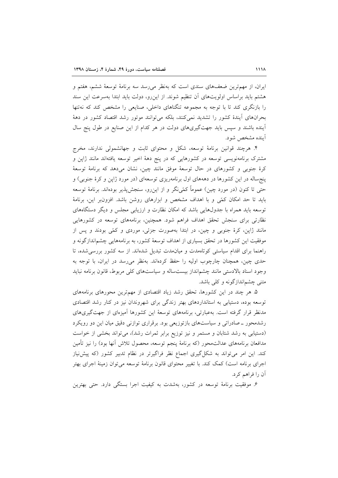ایران، از مهمترین ضعفهای سندی است که بهنظر میرسد سه برنامهٔ توسعهٔ ششم، هفتم و هشتم باید براساس اولویتهای آن تنظیم شوند. از اینرو، دولت باید ابتدا بهسرعت این سند را بازنگری کند تا با توجه به مجموعه تنگناهای داخلی، صنایعی را مشخص کند که نهتنها بحرانهای اَیندهٔ کشور را تشدید نمیکنند، بلکه می توانند موتور رشد اقتصاد کشور در دههٔ آینده باشند و سپس باید جهتگیریهای دولت در هر کدام از این صنایع در طول پنج سال اً ينده مشخص شود.

۴. هرچند قوانین برنامهٔ توسعه، شکل و محتوای ثابت و جهانشمولی ندارند، مخرج مشترک برنامهنویسی توسعه در کشورهایی که در پنج دههٔ اخیر توسعه یافتهاند مانند ژاپن و کرهٔ جنوبی و کشورهای در حال توسعهٔ موفق مانند چین، نشان میدهد که برنامهٔ توسعهٔ پنجساله در این کشورها در دهههای اول برنامهریزی توسعهای (در مورد ژاپن و کرهٔ جنوبی) و حتی تا کنون (در مورد چین) عموماً کمّی&و و از اینرو، سنجش پذیر بودهاند. برنامهٔ توسعه باید تا حد امکان کمّی و با اهداف مشخص و ابزارهای روشن باشد. افزونبر این، برنامهٔ توسعه باید همراه با جدولهایی باشد که امکان نظارت و ارزیابی مجلس و دیگر دستگاههای نظارتی برای سنجش تحقق اهداف فراهم شود. همچنین، برنامههای توسعه در کشورهایی مانند ژاپن، کرهٔ جنوبی و چین، در ابتدا بهصورت جزئی، موردی و کمّی بودند و پس از موفقیت این کشورها در تحقق بسیاری از اهداف توسعهٔ کشور، به برنامههایی چشم|ندازگونه و راهنما برای اقدام سیاستی کوتاهمدت و میان مدت تبدیل شدهاند. از سه کشور بررسی شده، تا حدی چین، همچنان چارچوب اولیه را حفظ کردهاند. بهنظر می رسد در ایران، با توجه به وجود اسناد بالادستی مانند چشمانداز بیستساله و سیاستهای کلی مربوط، قانون برنامه نباید متنی چشم|ندازگونه و کلی باشد.

۵. هر چند در این کشورها، تحقق رشد زیاد اقتصادی از مهمترین محورهای برنامههای توسعه بوده، دستیابی به استانداردهای بهتر زندگی برای شهروندان نیز در کنار رشد اقتصادی مدنظر قرار گرفته است. بهعبارتی، برنامههای توسعهٔ این کشورها اَمیزمای از جهتگیریهای رشدمحور ــ صادراتی و سیاستهای بازتوزیعی بود. برقراری توازنی دقیق میان این دو رویکرد (دستیابی به رشد شتابان و مستمر و نیز توزیع برابر ثمرات رشد)، می تواند بخشی از خواست مدافعان برنامههای عدالت0حور (که برنامهٔ پنجم توسعه، محصول تلاش آنها بود) را نیز تأمین کند. این امر می تواند به شکل گیری اجماع نظر فراگیرتر در نظام تدبیر کشور (که پیش نیاز اجرای برنامه است) کمک کند. با تغییر محتوای قانون برنامهٔ توسعه میتوان زمینهٔ اجرای بهتر آن را فراهم کرد.

۶. موفقیت برنامهٔ توسعه در کشور، بهشدت به کیفیت اجرا بستگی دارد. حتی بهترین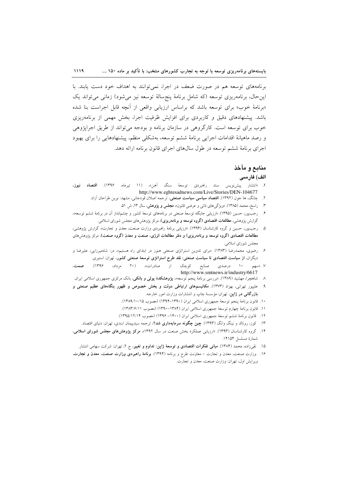برنامههای توسعه هم در صورت ضعف در اجرا، نمی توانند به اهداف خود دست یابند. با این حال، برنامهریزی توسعه (که شامل برنامهٔ پنجسالهٔ توسعه نیز میشود) زمانی می تواند یک «برنامهٔ خوب» برای توسعه باشد که براساس ارزیابی واقعی از آنچه قابل اجراست بنا شده باشد. پیشنهادهای دقیق و کاربردی برای افزایش ظرفیت اجرا، بخش مهمی از برنامهریزی خوب براي توسعه است. کارگروهي در سازمان برنامه و بودجه مي تواند از طريق اجرايژوهي و رصد ماهیانهٔ اقدامات اجرایی برنامهٔ ششم توسعه، بهشکلی منظم، پیشنهادهایی را برای بهبود اجرای برنامهٔ ششم توسعه در طول سالهای اجرای قانون برنامه ارائه دهد.

 $1119$ 

# منابع و مآخذ

### الف) فارسى

- ۱. «انتشار پیشنویس سند راهبردی توسعهٔ سنگ آهن»، (۱۱ تیرماه، ۱۳۹۶). **اقتصاد نیوز**، http://www.eghtesadnews.com/Live/Stories/DEN-104677
	- ۲. چانگ، ها جون (۱۳۹۲). **اقتصاد سیاسی سیاست صنعتی**، ترجمه اصلان قودجانی، مشهد: نوین طراحان اَزاد.
		- ۳. راسخ، محمد (۱۳۸۵). «ویژگیهای ذاتی و عرضی قانون»، **مجلس و پژوهش،** سال ۱۳، ش ۵۱.
- ۴. رجبپور، حسین (۱۳۹۵). «ارزیابی جایگاه توسعهٔ صنعتی در برنامههای توسعهٔ کشور و چشم|نداز آن در برنامهٔ ششم توسعه»، گزارش یژوهشی، **مطالعات اقتصادی (گروه توسعه و برنامهریزی)**، مرکز یژوهش های مجلس شورای اسلامی.
- ۵. رجبپور، حسین و گروه کارشناسان (۱۳۹۴). «ارزیابی برنامهٔ راهبردی وزارت صنعت، معدن و تجارت» گزارش پژوهشی، مطالعات اقتصادی (گروه توسعه و برنامهریزی) و دفتر مطالعات انرژی، صنعت و معدن (گروه صنعت)، مرکز پژوهشرهای مجلس شوراي اسلامي.
- ۶. رضوی، محمدرضا (۱۳۸۳). «برای تدوین استراتژی صنعتی هنوز در ابتدای راه هستیم»، در: شاهمیرزایی، علیرضا و دیگران، از سیاست اقتصادی تا سیاست صنعتی: نقد طرح استراتژی توسعهٔ صنعتی کشور، تهران: استیری.
- $(1199)$ از صادرات»، (۲۰ مرداد، ۱۰ درصدی صنایع کوچک صمت، V. «سهم http://www.smtnews.ir/industry/6617
- ۸ شاهچرا، مهشید (۱۳۸۹). «بررسی برنامهٔ پنجم توسعه»، **پژوهشکدهٔ پولی و بانکی**، بانک مرکزی جمهوری اسلامی ایران.
- ۹. علیپور تهرانی، بهزاد (۱۳۷۳). مکانیسمهای ارتباطی دولت و بخش خصوص و ظهور بنگاههای عظیم صنعتی و **بازرگانی در ژاپن**، تهران: مؤسسهٔ چاپ و انتشارات وزارت امور خارجه.
	- ١٠. قانون برنامة ينجم توسعة جمهوري اسلامي ايران (١٣٩٠-١٣٩۴) (مصوب ١٣٨٩/١٠/١٥).
	- ١١. قانون برنامة چهارم توسعة جمهوري اسلامي ايران (١٣٨٤-١٣٩٠) (مصوب ١٣٨٣/۶/١١).
	- ۱۲. قانون برنامهٔ ششم توسعهٔ جمهوری اسلامی ایران (۱۴۰۰– ۱۳۹۶) (مصوب ۱۳۹۵/۱۲/۱۴).
	- ۱۳. کوز، رونالد و نینگ وانگ (۱۳۹۳). **چین چگونه سرمایهداری شد؟**، ترجمه سیدپیمان اسدی، تهران: دنیای اقتصاد.
- ۱۴. گروه کارشناسان (۱۳۹۳). «ارزیابی عملکرد بخش صنعت در سال ۱۳۹۲»، م**رکز پژوهش های مجلس شورای اسلامی**، شمارة مسلسل ١۴١۵۴.
	- ۱۵. نقىزاده، محمد (۱۳۸۴). **مبانى تفكرات اقتصادى و توسعهٔ ژاپن: تداوم و تغییر**، ج ۲، تهران: شركت سهامى انتشار.
- ۱۶. وزارت صنعت، معدن و تجارت معاونت طرح و برنامه (۱۳۹۴). <mark>برنامهٔ راهبردی وزارت صنعت، معدن و تجارت</mark>. ويرايش اول، تهران: وزارت صنعت، معدن و تجارت.